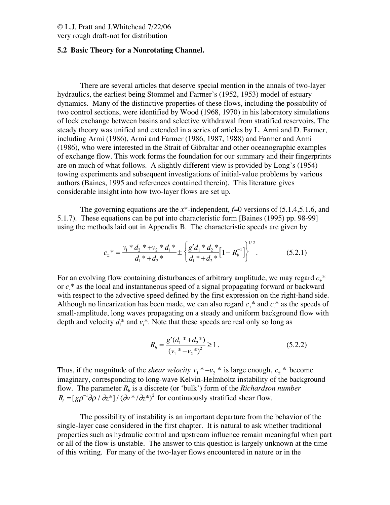# © L.J. Pratt and J.Whitehead 7/22/06

very rough draft-not for distribution

#### **5.2 Basic Theory for a Nonrotating Channel.**

There are several articles that deserve special mention in the annals of two-layer hydraulics, the earliest being Stommel and Farmer's (1952, 1953) model of estuary dynamics. Many of the distinctive properties of these flows, including the possibility of two control sections, were identified by Wood (1968, 1970) in his laboratory simulations of lock exchange between basins and selective withdrawal from stratified reservoirs. The steady theory was unified and extended in a series of articles by L. Armi and D. Farmer, including Armi (1986), Armi and Farmer (1986, 1987, 1988) and Farmer and Armi (1986), who were interested in the Strait of Gibraltar and other oceanographic examples of exchange flow. This work forms the foundation for our summary and their fingerprints are on much of what follows. A slightly different view is provided by Long's (1954) towing experiments and subsequent investigations of initial-value problems by various authors (Baines, 1995 and references contained therein). This literature gives considerable insight into how two-layer flows are set up.

The governing equations are the  $x^*$ -independent,  $f=0$  versions of (5.1.4,5.1.6, and 5.1.7). These equations can be put into characteristic form [Baines (1995) pp. 98-99] using the methods laid out in Appendix B. The characteristic speeds are given by

$$
c_{\pm}^* = \frac{v_1^* d_2^* + v_2^* d_1^*}{d_1^* + d_2^*} \pm \left\{ \frac{g'd_1^* d_2^*}{d_1^* + d_2^*} \left[ 1 - R_b^{-1} \right] \right\}^{1/2}.
$$
 (5.2.1)

For an evolving flow containing disturbances of arbitrary amplitude, we may regard  $c$ <sup>\*</sup> or *c*- \* as the local and instantaneous speed of a signal propagating forward or backward with respect to the advective speed defined by the first expression on the right-hand side. Although no linearization has been made, we can also regard  $c_{+}$ <sup>\*</sup> and  $c_{-}$ <sup>\*</sup> as the speeds of small-amplitude, long waves propagating on a steady and uniform background flow with depth and velocity  $d_i^*$  and  $v_i^*$ . Note that these speeds are real only so long as

$$
R_b = \frac{g'(d_1 * + d_2^*)}{(v_1 * - v_2^*)^2} \ge 1.
$$
\n(5.2.2)

Thus, if the magnitude of the *shear velocity*  $v_1^* - v_2^*$  is large enough,  $c_{\pm}^*$  become imaginary, corresponding to long-wave Kelvin-Helmholtz instability of the background flow. The parameter  $R_b$  is a discrete (or 'bulk') form of the *Richardson number*  $R_i = [g\rho^{-1}\partial\rho / \partial z^*]/(\partial v^* / \partial z^*)^2$  for continuously stratified shear flow.

The possibility of instability is an important departure from the behavior of the single-layer case considered in the first chapter. It is natural to ask whether traditional properties such as hydraulic control and upstream influence remain meaningful when part or all of the flow is unstable. The answer to this question is largely unknown at the time of this writing. For many of the two-layer flows encountered in nature or in the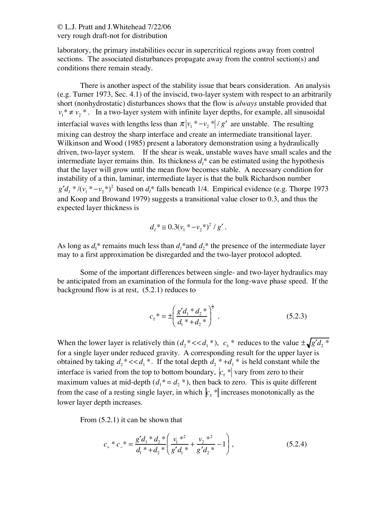#### © L.J. Pratt and J.Whitehead 7/22/06 very rough draft-not for distribution

laboratory, the primary instabilities occur in supercritical regions away from control sections. The associated disturbances propagate away from the control section(s) and conditions there remain steady.

There is another aspect of the stability issue that bears consideration. An analysis (e.g. Turner 1973, Sec. 4.1) of the inviscid, two-layer system with respect to an arbitrarily short (nonhydrostatic) disturbances shows that the flow is *always* unstable provided that  $v_1^* \neq v_2^*$ . In a two-layer system with infinite layer depths, for example, all sinusoidal interfacial waves with lengths less than  $\pi |v_1^* - v_2^*| / g'$  are unstable. The resulting mixing can destroy the sharp interface and create an intermediate transitional layer. Wilkinson and Wood (1985) present a laboratory demonstration using a hydraulically driven, two-layer system. If the shear is weak, unstable waves have small scales and the intermediate layer remains thin. Its thickness  $d_i^*$  can be estimated using the hypothesis that the layer will grow until the mean flow becomes stable. A necessary condition for instability of a thin, laminar, intermediate layer is that the bulk Richardson number  $g'd_1 * / (v_1 * - v_2 * )^2$  based on  $d_1^*$  falls beneath 1/4. Empirical evidence (e.g. Thorpe 1973 and Koop and Browand 1979) suggests a transitional value closer to 0.3, and thus the expected layer thickness is

$$
d_{I}^* \cong 0.3(v_1^* - v_2^*)^2 / g'.
$$

As long as  $d_1^*$  remains much less than  $d_1^*$  and  $d_2^*$  the presence of the intermediate layer may to a first approximation be disregarded and the two-layer protocol adopted.

Some of the important differences between single- and two-layer hydraulics may be anticipated from an examination of the formula for the long-wave phase speed. If the background flow is at rest, (5.2.1) reduces to

$$
c_{\pm}^* = \pm \left( \frac{g'd_1 * d_2 *}{d_1 * d_2 *} \right)^{\frac{1}{2}}.
$$
 (5.2.3)

When the lower layer is relatively thin  $(d_2^* \ll d_1^*)$ ,  $c_{\pm}^*$  reduces to the value  $\pm \sqrt{g'd_2^*}$ for a single layer under reduced gravity. A corresponding result for the upper layer is obtained by taking  $d_2^* \ll d_1^*$ . If the total depth  $d_2^* \star d_1^*$  is held constant while the interface is varied from the top to bottom boundary,  $|c_{\pm}^*|$  vary from zero to their maximum values at mid-depth  $(d_1^* = d_2^*)$ , then back to zero. This is quite different from the case of a resting single layer, in which  $|c_{\pm}^*|$  increases monotonically as the lower layer depth increases.

From (5.2.1) it can be shown that

$$
c_{+} * c_{-} * = \frac{g'd_{1} * d_{2} *}{d_{1} * + d_{2} *} \left(\frac{v_{1} * ^{2}}{g'd_{1} *} + \frac{v_{2} * ^{2}}{g'd_{2} *} - 1\right),
$$
\n(5.2.4)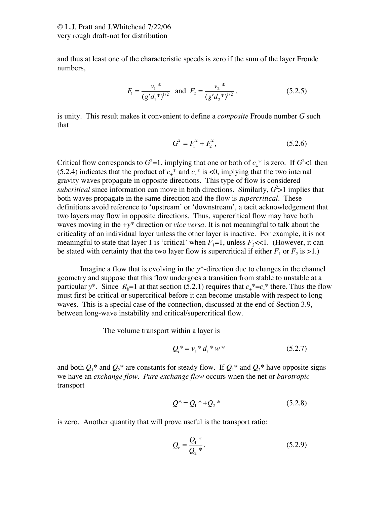and thus at least one of the characteristic speeds is zero if the sum of the layer Froude numbers,

$$
F_1 = \frac{v_1^*}{(g'd_1^*)^{1/2}} \text{ and } F_2 = \frac{v_2^*}{(g'd_2^*)^{1/2}},
$$
\n(5.2.5)

is unity. This result makes it convenient to define a *composite* Froude number *G* such that

$$
G^2 = F_1^2 + F_2^2, \tag{5.2.6}
$$

Critical flow corresponds to  $G^2=1$ , implying that one or both of  $c_{\pm}^*$  is zero. If  $G^2<1$  then (5.2.4) indicates that the product of  $c_{+}^{*}$  and  $c_{-}^{*}$  is  $\leq 0$ , implying that the two internal gravity waves propagate in opposite directions. This type of flow is considered *subcritical* since information can move in both directions. Similarly,  $G^2 > 1$  implies that both waves propagate in the same direction and the flow is *supercritical*.These definitions avoid reference to 'upstream' or 'downstream', a tacit acknowledgement that two layers may flow in opposite directions.Thus, supercritical flow may have both waves moving in the +*y*\* direction or *vice versa.* It is not meaningful to talk about the criticality of an individual layer unless the other layer is inactive. For example, it is not meaningful to state that layer 1 is 'critical' when  $F_1=1$ , unless  $F_2\ll 1$ . (However, it can be stated with certainty that the two layer flow is supercritical if either  $F_1$  or  $F_2$  is >1.)

Imagine a flow that is evolving in the *y*\*-direction due to changes in the channel geometry and suppose that this flow undergoes a transition from stable to unstable at a particular *y*\*. Since  $R_b$ =1 at that section (5.2.1) requires that  $c_+$ <sup>\*</sup>= $c_+$ <sup>\*</sup> there. Thus the flow must first be critical or supercritical before it can become unstable with respect to long waves. This is a special case of the connection, discussed at the end of Section 3.9, between long-wave instability and critical/supercritical flow.

The volume transport within a layer is

$$
Q_i^* = v_i^* d_i^* w^* \tag{5.2.7}
$$

and both  $Q_1^*$  and  $Q_2^*$  are constants for steady flow. If  $Q_1^*$  and  $Q_2^*$  have opposite signs we have an *exchange flow*. *Pure exchange flow* occurs when the net or *barotropic* transport

$$
Q^* = Q_1^* + Q_2^* \tag{5.2.8}
$$

is zero. Another quantity that will prove useful is the transport ratio:

$$
Q_r = \frac{Q_1^*}{Q_2^*}.
$$
 (5.2.9)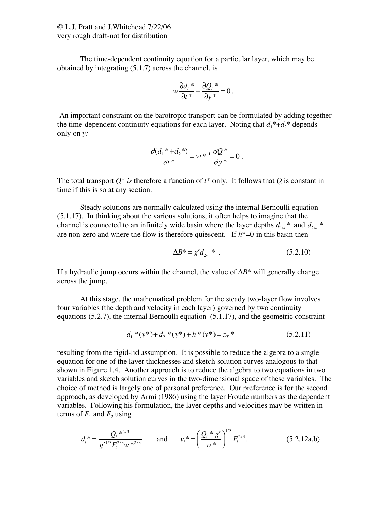The time-dependent continuity equation for a particular layer, which may be obtained by integrating (5.1.7) across the channel, is

$$
w\frac{\partial d_i^*}{\partial t^*} + \frac{\partial Q_i^*}{\partial y^*} = 0.
$$

 An important constraint on the barotropic transport can be formulated by adding together the time-dependent continuity equations for each layer. Noting that  $d_1^* + d_2^*$  depends only on *y:*

$$
\frac{\partial (d_1^* + d_2^*)}{\partial t^*} = w^{*^{-1}} \frac{\partial Q^*}{\partial y^*} = 0.
$$

The total transport  $Q^*$  *is* therefore a function of  $t^*$  only. It follows that  $Q$  is constant in time if this is so at any section.

Steady solutions are normally calculated using the internal Bernoulli equation (5.1.17). In thinking about the various solutions, it often helps to imagine that the channel is connected to an infinitely wide basin where the layer depths  $d_{1\infty}$  \* and  $d_{2\infty}$  \* are non-zero and where the flow is therefore quiescent. If  $h^*=0$  in this basin then

$$
\Delta B^* = g' d_{2\infty}^* . \tag{5.2.10}
$$

If a hydraulic jump occurs within the channel, the value of  $\Delta B^*$  will generally change across the jump.

At this stage, the mathematical problem for the steady two-layer flow involves four variables (the depth and velocity in each layer) governed by two continuity equations (5.2.7), the internal Bernoulli equation (5.1.17), and the geometric constraint

$$
d_1^*(y^*) + d_2^*(y^*) + h^*(y^*) = z_T^* \tag{5.2.11}
$$

resulting from the rigid-lid assumption. It is possible to reduce the algebra to a single equation for one of the layer thicknesses and sketch solution curves analogous to that shown in Figure 1.4.Another approach is to reduce the algebra to two equations in two variables and sketch solution curves in the two-dimensional space of these variables. The choice of method is largely one of personal preference. Our preference is for the second approach, as developed by Armi (1986) using the layer Froude numbers as the dependent variables. Following his formulation, the layer depths and velocities may be written in terms of  $F_1$  and  $F_2$  using

$$
d_i^* = \frac{Q_i^{*^{2/3}}}{g'^{1/3}F_i^{2/3}w^{*^{2/3}}}
$$
 and  $v_i^* = \left(\frac{Q_i^* g'}{w^*}\right)^{1/3} F_i^{2/3}.$  (5.2.12a,b)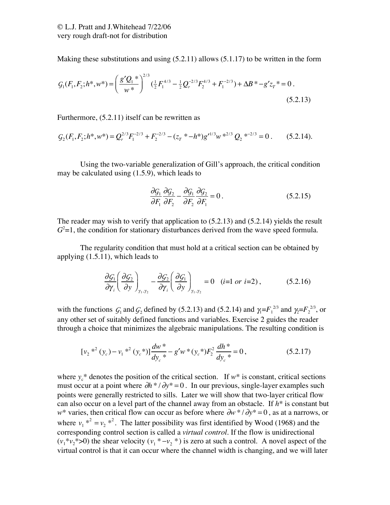Making these substitutions and using (5.2.11) allows (5.1.17) to be written in the form

$$
G_1(F_1, F_2; h^*, w^*) = \left(\frac{g'Q_1^*}{w^*}\right)^{2/3} \left(\frac{1}{2}F_1^{4/3} - \frac{1}{2}Q_r^{-2/3}F_2^{4/3} + F_1^{-2/3}\right) + \Delta B^* - g'z_T^* = 0.
$$
\n(5.2.13)

Furthermore, (5.2.11) itself can be rewritten as

$$
G_2(F_1, F_2; h^*, w^*) = Q_r^{2/3} F_1^{-2/3} + F_2^{-2/3} - (z_r^* - h^*) g'^{1/3} w^{2/3} Q_2^{2/3} = 0.
$$
 (5.2.14).

Using the two-variable generalization of Gill's approach, the critical condition may be calculated using (1.5.9), which leads to

$$
\frac{\partial G_1}{\partial F_1} \frac{\partial G_2}{\partial F_2} - \frac{\partial G_1}{\partial F_2} \frac{\partial G_2}{\partial F_1} = 0.
$$
 (5.2.15)

The reader may wish to verify that application to (5.2.13) and (5.2.14) yields the result  $G<sup>2</sup>=1$ , the condition for stationary disturbances derived from the wave speed formula.

The regularity condition that must hold at a critical section can be obtained by applying (1.5.11), which leads to

$$
\frac{\partial \mathcal{G}_1}{\partial \gamma_i} \left( \frac{\partial \mathcal{G}_2}{\partial y} \right)_{\gamma_1, \gamma_2} - \frac{\partial \mathcal{G}_2}{\partial \gamma_i} \left( \frac{\partial \mathcal{G}_1}{\partial y} \right)_{\gamma_1, \gamma_2} = 0 \quad (i=1 \text{ or } i=2), \tag{5.2.16}
$$

with the functions  $G_1$  and  $G_2$  defined by (5.2.13) and (5.2.14) and  $\gamma_1 = F_1^{2/3}$  and  $\gamma_2 = F_2^{2/3}$ , or any other set of suitably defined functions and variables. Exercise 2 guides the reader through a choice that minimizes the algebraic manipulations. The resulting condition is

$$
[v_2^{*2} (y_c) - v_1^{*2} (y_c^*)] \frac{dw^*}{dy_c^*} - g' w^* (y_c^*) F_2^2 \frac{dh^*}{dy_c^*} = 0, \qquad (5.2.17)
$$

where  $y_c^*$  denotes the position of the critical section. If  $w^*$  is constant, critical sections must occur at a point where  $\partial h * / \partial y^* = 0$ . In our previous, single-layer examples such points were generally restricted to sills. Later we will show that two-layer critical flow can also occur on a level part of the channel away from an obstacle. If *h*\* is constant but  $w^*$  varies, then critical flow can occur as before where  $\partial w^* / \partial y^* = 0$ , as at a narrows, or where  $v_1$ <sup>\*2</sup> =  $v_2$ <sup>\*2</sup>. The latter possibility was first identified by Wood (1968) and the corresponding control section is called a *virtual control*. If the flow is unidirectional  $(v_1^* v_2^* > 0)$  the shear velocity  $(v_1^* v_2^*)$  is zero at such a control. A novel aspect of the virtual control is that it can occur where the channel width is changing, and we will later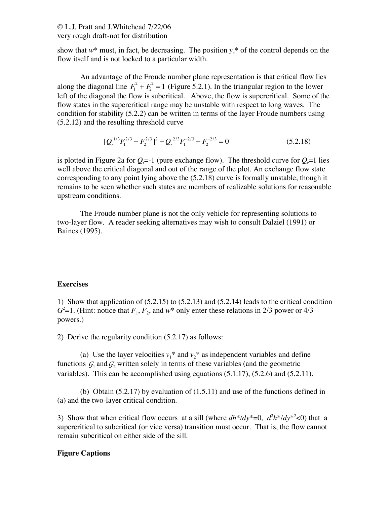## © L.J. Pratt and J.Whitehead 7/22/06 very rough draft-not for distribution

show that  $w^*$  must, in fact, be decreasing. The position  $y_c^*$  of the control depends on the flow itself and is not locked to a particular width.

An advantage of the Froude number plane representation is that critical flow lies along the diagonal line  $F_1^2 + F_2^2 = 1$  (Figure 5.2.1). In the triangular region to the lower left of the diagonal the flow is subcritical. Above, the flow is supercritical. Some of the flow states in the supercritical range may be unstable with respect to long waves. The condition for stability (5.2.2) can be written in terms of the layer Froude numbers using (5.2.12) and the resulting threshold curve

$$
[Q_r^{1/3}F_1^{2/3} - F_2^{2/3}]^2 - Q_r^{2/3}F_1^{-2/3} - F_2^{-2/3} = 0
$$
 (5.2.18)

is plotted in Figure 2a for  $Q_i$ =-1 (pure exchange flow). The threshold curve for  $Q_i$ =1 lies well above the critical diagonal and out of the range of the plot. An exchange flow state corresponding to any point lying above the (5.2.18) curve is formally unstable, though it remains to be seen whether such states are members of realizable solutions for reasonable upstream conditions.

The Froude number plane is not the only vehicle for representing solutions to two-layer flow. A reader seeking alternatives may wish to consult Dalziel (1991) or Baines (1995).

## **Exercises**

1) Show that application of (5.2.15) to (5.2.13) and (5.2.14) leads to the critical condition  $G^2$ =1. (Hint: notice that  $F_1, F_2$ , and  $w^*$  only enter these relations in 2/3 power or 4/3 powers.)

2) Derive the regularity condition (5.2.17) as follows:

(a) Use the layer velocities  $v_1^*$  and  $v_2^*$  as independent variables and define functions  $\mathcal{G}_1$  and  $\mathcal{G}_2$  written solely in terms of these variables (and the geometric variables). This can be accomplished using equations (5.1.17), (5.2.6) and (5.2.11).

(b) Obtain  $(5.2.17)$  by evaluation of  $(1.5.11)$  and use of the functions defined in (a) and the two-layer critical condition.

3) Show that when critical flow occurs at a sill (where  $dh^*/dy^* = 0$ ,  $d^2h^*/dy^{*2} < 0$ ) that a supercritical to subcritical (or vice versa) transition must occur. That is, the flow cannot remain subcritical on either side of the sill.

## **Figure Captions**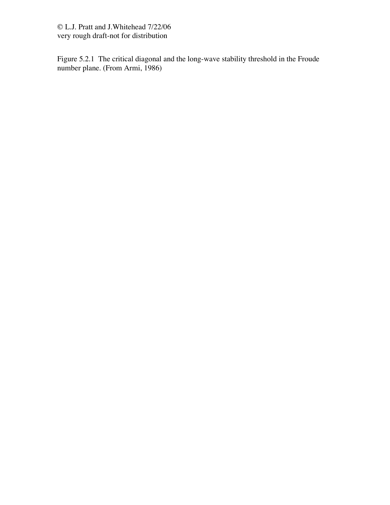© L.J. Pratt and J.Whitehead 7/22/06 very rough draft-not for distribution

Figure 5.2.1 The critical diagonal and the long-wave stability threshold in the Froude number plane. (From Armi, 1986)